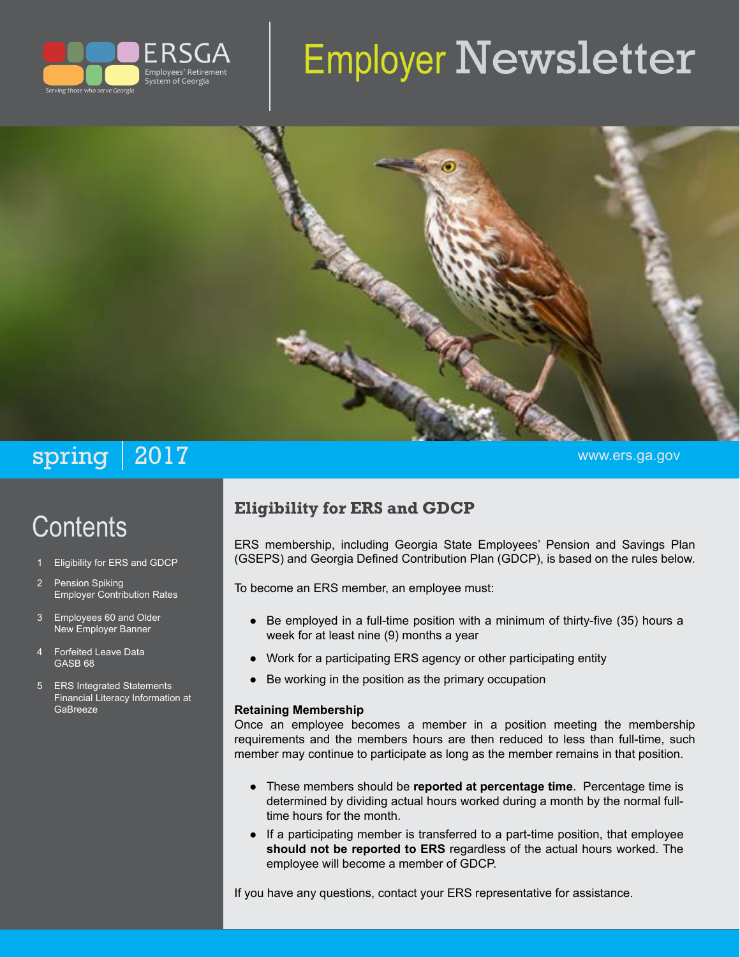

# Employer Newsletter



## ${\rm spring} \mid 2017$  www.ers.ga.gov

# **Contents**

- 1 Eligibility for ERS and GDCP
- 2 Pension Spiking Employer Contribution Rates
- 3 Employees 60 and Older New Employer Banner
- 4 Forfeited Leave Data GASB 68
- 5 ERS Integrated Statements Financial Literacy Information at **GaBreeze**

#### **Eligibility for ERS and GDCP**

ERS membership, including Georgia State Employees' Pension and Savings Plan (GSEPS) and Georgia Defined Contribution Plan (GDCP), is based on the rules below.

To become an ERS member, an employee must:

- Be employed in a full-time position with a minimum of thirty-five (35) hours a week for at least nine (9) months a year
- Work for a participating ERS agency or other participating entity
- Be working in the position as the primary occupation

#### **Retaining Membership**

Once an employee becomes a member in a position meeting the membership requirements and the members hours are then reduced to less than full-time, such member may continue to participate as long as the member remains in that position.

- These members should be **reported at percentage time**. Percentage time is determined by dividing actual hours worked during a month by the normal fulltime hours for the month.
- If a participating member is transferred to a part-time position, that employee **should not be reported to ERS** regardless of the actual hours worked. The employee will become a member of GDCP.

If you have any questions, contact your ERS representative for assistance.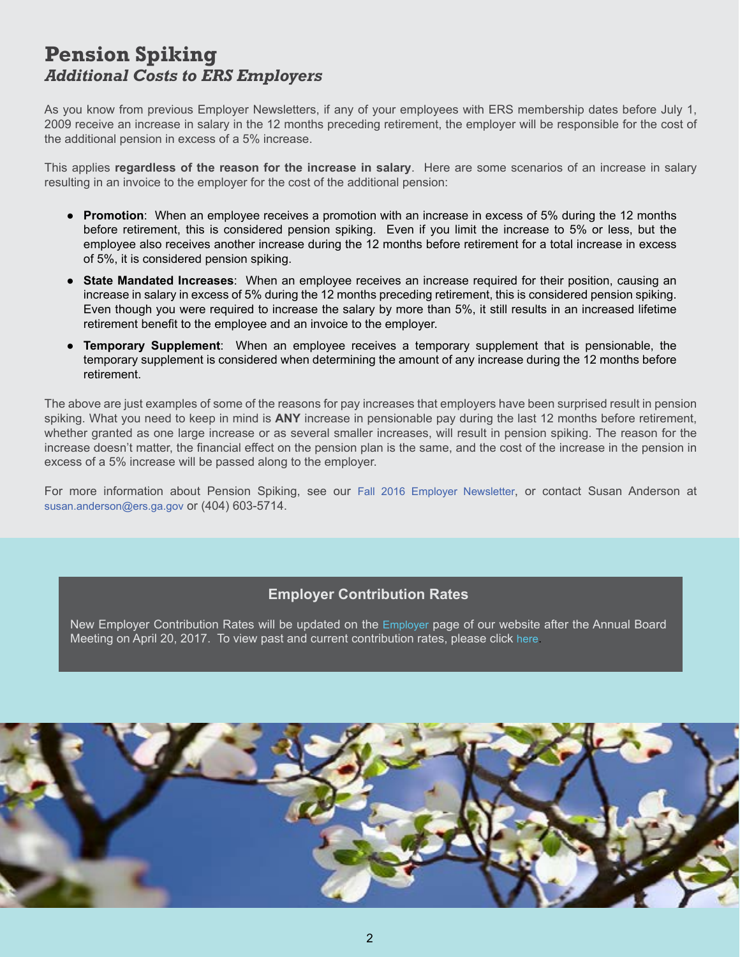#### **Pension Spiking** *Additional Costs to ERS Employers*

As you know from previous Employer Newsletters, if any of your employees with ERS membership dates before July 1, 2009 receive an increase in salary in the 12 months preceding retirement, the employer will be responsible for the cost of the additional pension in excess of a 5% increase.

This applies **regardless of the reason for the increase in salary**. Here are some scenarios of an increase in salary resulting in an invoice to the employer for the cost of the additional pension:

- **Promotion**: When an employee receives a promotion with an increase in excess of 5% during the 12 months before retirement, this is considered pension spiking. Even if you limit the increase to 5% or less, but the employee also receives another increase during the 12 months before retirement for a total increase in excess of 5%, it is considered pension spiking.
- **State Mandated Increases**: When an employee receives an increase required for their position, causing an increase in salary in excess of 5% during the 12 months preceding retirement, this is considered pension spiking. Even though you were required to increase the salary by more than 5%, it still results in an increased lifetime retirement benefit to the employee and an invoice to the employer.
- **Temporary Supplement**: When an employee receives a temporary supplement that is pensionable, the temporary supplement is considered when determining the amount of any increase during the 12 months before retirement.

The above are just examples of some of the reasons for pay increases that employers have been surprised result in pension spiking. What you need to keep in mind is **ANY** increase in pensionable pay during the last 12 months before retirement, whether granted as one large increase or as several smaller increases, will result in pension spiking. The reason for the increase doesn't matter, the financial effect on the pension plan is the same, and the cost of the increase in the pension in excess of a 5% increase will be passed along to the employer.

For more information about Pension Spiking, see our [Fall 2016 Employer Newsletter,](http://www.ers.ga.gov/Docs/Formsandpubs/EmployerNewsletterFall2016.pdf) or contact Susan Anderson at [susan.anderson@ers.ga.gov](mailto:susan.anderson@ers.ga.gov) or (404) 603-5714.

#### **Employer Contribution Rates**

New Employer Contribution Rates will be updated on the [Employer](http://www.ers.ga.gov/employers/employers.html) page of our website after the Annual Board Meeting on April 20, 2017. To view past and current contribution rates, please click [here.](http://www.ers.ga.gov/employers/employerforms.html)

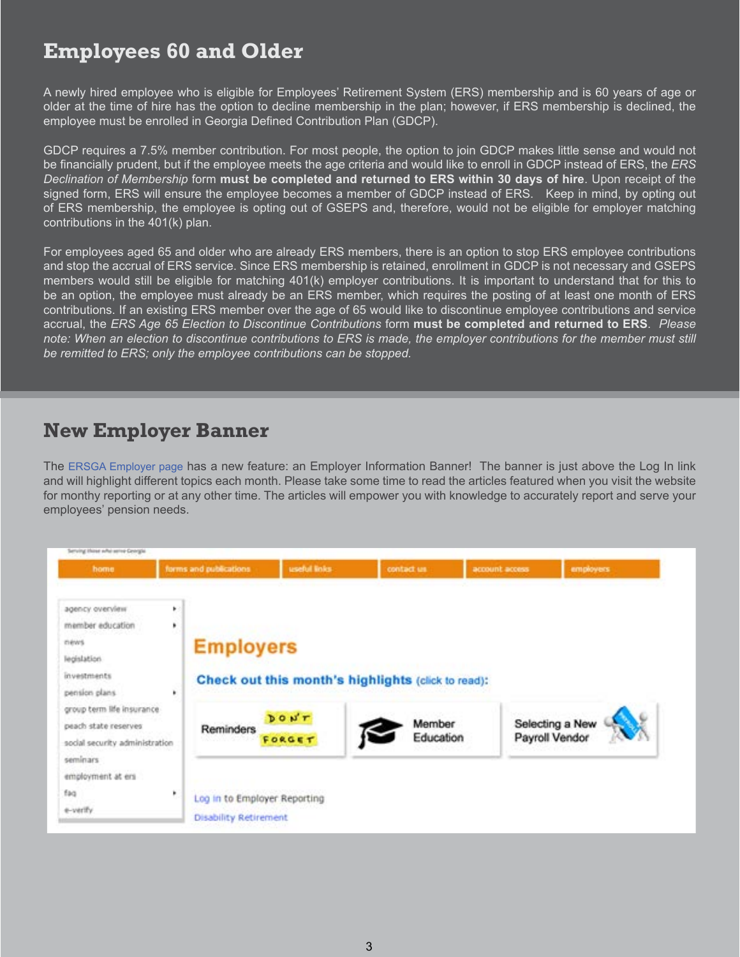## **Employees 60 and Older**

A newly hired employee who is eligible for Employees' Retirement System (ERS) membership and is 60 years of age or older at the time of hire has the option to decline membership in the plan; however, if ERS membership is declined, the employee must be enrolled in Georgia Defined Contribution Plan (GDCP).

GDCP requires a 7.5% member contribution. For most people, the option to join GDCP makes little sense and would not be financially prudent, but if the employee meets the age criteria and would like to enroll in GDCP instead of ERS, the *ERS Declination of Membership* form **must be completed and returned to ERS within 30 days of hire**. Upon receipt of the signed form, ERS will ensure the employee becomes a member of GDCP instead of ERS. Keep in mind, by opting out of ERS membership, the employee is opting out of GSEPS and, therefore, would not be eligible for employer matching contributions in the 401(k) plan.

For employees aged 65 and older who are already ERS members, there is an option to stop ERS employee contributions and stop the accrual of ERS service. Since ERS membership is retained, enrollment in GDCP is not necessary and GSEPS members would still be eligible for matching 401(k) employer contributions. It is important to understand that for this to be an option, the employee must already be an ERS member, which requires the posting of at least one month of ERS contributions. If an existing ERS member over the age of 65 would like to discontinue employee contributions and service accrual, the *ERS Age 65 Election to Discontinue Contributions* form **must be completed and returned to ERS**. *Please note: When an election to discontinue contributions to ERS is made, the employer contributions for the member must still be remitted to ERS; only the employee contributions can be stopped.*

#### **New Employer Banner**

The [ERSGA Employer page](http://www.ers.ga.gov/employers/employers.html) has a new feature: an Employer Information Banner! The banner is just above the Log In link and will highlight different topics each month. Please take some time to read the articles featured when you visit the website for monthy reporting or at any other time. The articles will empower you with knowledge to accurately report and serve your employees' pension needs.

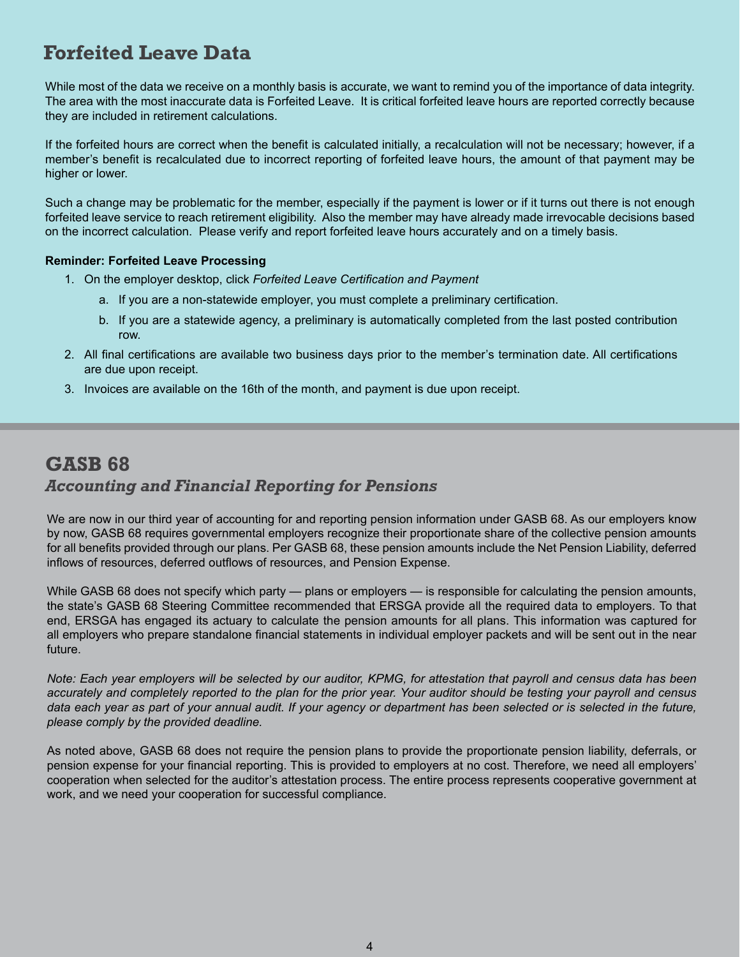#### **Forfeited Leave Data**

While most of the data we receive on a monthly basis is accurate, we want to remind you of the importance of data integrity. The area with the most inaccurate data is Forfeited Leave. It is critical forfeited leave hours are reported correctly because they are included in retirement calculations.

If the forfeited hours are correct when the benefit is calculated initially, a recalculation will not be necessary; however, if a member's benefit is recalculated due to incorrect reporting of forfeited leave hours, the amount of that payment may be higher or lower.

Such a change may be problematic for the member, especially if the payment is lower or if it turns out there is not enough forfeited leave service to reach retirement eligibility. Also the member may have already made irrevocable decisions based on the incorrect calculation. Please verify and report forfeited leave hours accurately and on a timely basis.

#### **Reminder: Forfeited Leave Processing**

- 1. On the employer desktop, click *Forfeited Leave Certification and Payment*
	- a. If you are a non-statewide employer, you must complete a preliminary certification.
	- b. If you are a statewide agency, a preliminary is automatically completed from the last posted contribution row.
- 2. All final certifications are available two business days prior to the member's termination date. All certifications are due upon receipt.
- 3. Invoices are available on the 16th of the month, and payment is due upon receipt.

## **GASB 68** *Accounting and Financial Reporting for Pensions*

We are now in our third year of accounting for and reporting pension information under GASB 68. As our employers know by now, GASB 68 requires governmental employers recognize their proportionate share of the collective pension amounts for all benefits provided through our plans. Per GASB 68, these pension amounts include the Net Pension Liability, deferred inflows of resources, deferred outflows of resources, and Pension Expense.

While GASB 68 does not specify which party — plans or employers — is responsible for calculating the pension amounts, the state's GASB 68 Steering Committee recommended that ERSGA provide all the required data to employers. To that end, ERSGA has engaged its actuary to calculate the pension amounts for all plans. This information was captured for all employers who prepare standalone financial statements in individual employer packets and will be sent out in the near future.

*Note: Each year employers will be selected by our auditor, KPMG, for attestation that payroll and census data has been accurately and completely reported to the plan for the prior year. Your auditor should be testing your payroll and census*  data each year as part of your annual audit. If your agency or department has been selected or is selected in the future, *please comply by the provided deadline.*

As noted above, GASB 68 does not require the pension plans to provide the proportionate pension liability, deferrals, or pension expense for your financial reporting. This is provided to employers at no cost. Therefore, we need all employers' cooperation when selected for the auditor's attestation process. The entire process represents cooperative government at work, and we need your cooperation for successful compliance.